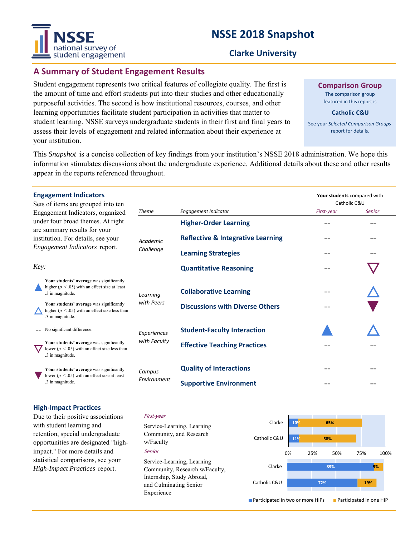# **NSSE 2018 Snapshot**



# **Clarke University**

# **A Summary of Student Engagement Results**

Student engagement represents two critical features of collegiate quality. The first is the amount of time and effort students put into their studies and other educationally purposeful activities. The second is how institutional resources, courses, and other learning opportunities facilitate student participation in activities that matter to student learning. NSSE surveys undergraduate students in their first and final years to assess their levels of engagement and related information about their experience at your institution.

**Comparison Group** The comparison group

featured in this report is

**Catholic C&U**

See your *Selected Comparison Groups*  report for details.

**Your students** compared with

This *Snapshot* is a concise collection of key findings from your institution's NSSE 2018 administration. We hope this information stimulates discussions about the undergraduate experience. Additional details about these and other results appear in the reports referenced throughout.

### **Engagement Indicators**

| Sets of items are grouped into ten<br>Engagement Indicators, organized<br>under four broad themes. At right<br>are summary results for your<br>institution. For details, see your<br>Engagement Indicators report. |                                                                                                                    |                       |                                              | Catholic C&U |               |
|--------------------------------------------------------------------------------------------------------------------------------------------------------------------------------------------------------------------|--------------------------------------------------------------------------------------------------------------------|-----------------------|----------------------------------------------|--------------|---------------|
|                                                                                                                                                                                                                    |                                                                                                                    | <b>Theme</b>          | Engagement Indicator                         | First-year   | <b>Senior</b> |
|                                                                                                                                                                                                                    |                                                                                                                    | Academic<br>Challenge | <b>Higher-Order Learning</b>                 | --           | --            |
|                                                                                                                                                                                                                    |                                                                                                                    |                       | <b>Reflective &amp; Integrative Learning</b> | --           | --            |
|                                                                                                                                                                                                                    |                                                                                                                    |                       | <b>Learning Strategies</b>                   | --           | --            |
| Key:                                                                                                                                                                                                               |                                                                                                                    |                       | <b>Quantitative Reasoning</b>                | --           |               |
|                                                                                                                                                                                                                    | Your students' average was significantly<br>higher ( $p < .05$ ) with an effect size at least<br>.3 in magnitude.  | Learning              | <b>Collaborative Learning</b>                |              |               |
|                                                                                                                                                                                                                    | Your students' average was significantly<br>higher ( $p < .05$ ) with an effect size less than<br>.3 in magnitude. | with Peers            | <b>Discussions with Diverse Others</b>       | --           |               |
|                                                                                                                                                                                                                    | No significant difference.                                                                                         | Experiences           | <b>Student-Faculty Interaction</b>           |              |               |
|                                                                                                                                                                                                                    | Your students' average was significantly<br>lower ( $p < .05$ ) with an effect size less than<br>.3 in magnitude.  | with Faculty          | <b>Effective Teaching Practices</b>          |              |               |
|                                                                                                                                                                                                                    | Your students' average was significantly<br>lower ( $p < .05$ ) with an effect size at least<br>.3 in magnitude.   | Campus<br>Environment | <b>Quality of Interactions</b>               | --           |               |
|                                                                                                                                                                                                                    |                                                                                                                    |                       | <b>Supportive Environment</b>                | --           | --            |

#### **High‐Impact Practices**

Due to their positive associations with student learning and retention, special undergraduate opportunities are designated "highimpact." For more details and statistical comparisons, see your *High-Impact Practices* report.

#### First-year

Senior Service-Learning, Learning Community, and Research w/Faculty Service-Learning, Learning Community, Research w/Faculty, Internship, Study Abroad, and Culminating Senior Experience

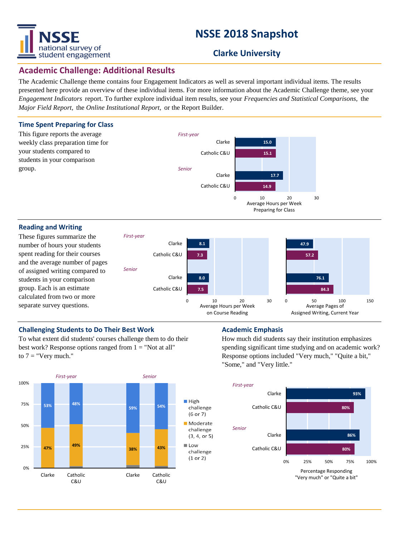

# **NSSE 2018 Snapshot**

# **Clarke University**

## **Academic Challenge: Additional Results**

The Academic Challenge theme contains four Engagement Indicators as well as several important individual items. The results presented here provide an overview of these individual items. For more information about the Academic Challenge theme, see your *Engagement Indicators* report. To further explore individual item results, see your *Frequencies and Statistical Comparisons,* the *Major Field Report,* the *Online Institutional Report,* or the Report Builder.



### **Challenging Students to Do Their Best Work <b>Academic Emphasis**

To what extent did students' courses challenge them to do their best work? Response options ranged from  $1 =$  "Not at all" to  $7 =$  "Very much."



How much did students say their institution emphasizes spending significant time studying and on academic work? Response options included "Very much," "Quite a bit," "Some," and "Very little."

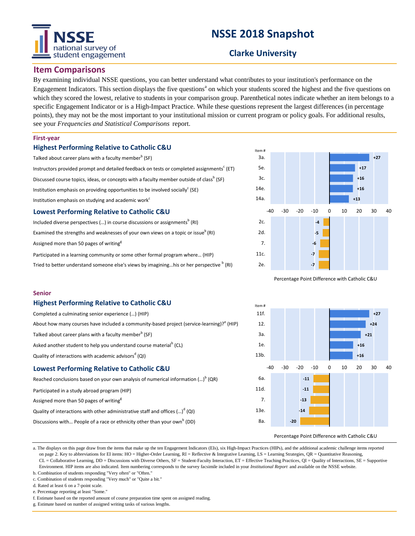# national survey of student engagement

# **NSSE 2018 Snapshot**

# **Clarke University**

## **Item Comparisons**

By examining individual NSSE questions, you can better understand what contributes to your institution's performance on the Engagement Indicators. This section displays the five questions<sup>a</sup> on which your students scored the highest and the five questions on which they scored the lowest, relative to students in your comparison group. Parenthetical notes indicate whether an item belongs to a specific Engagement Indicator or is a High-Impact Practice. While these questions represent the largest differences (in percentage points), they may not be the most important to your institutional mission or current program or policy goals. For additional results, see your *Frequencies and Statistical Comparisons* report.

#### **First-year**

**Senior**

### **Highest Performing Relative to Catholic C&U**

| Talked about career plans with a faculty member <sup>b</sup> (SF)                                     |  |  |  |  |  |  |  |
|-------------------------------------------------------------------------------------------------------|--|--|--|--|--|--|--|
| Instructors provided prompt and detailed feedback on tests or completed assignments <sup>c</sup> (ET) |  |  |  |  |  |  |  |
| Discussed course topics, ideas, or concepts with a faculty member outside of class <sup>b</sup> (SF)  |  |  |  |  |  |  |  |
| Institution emphasis on providing opportunities to be involved socially <sup>c</sup> (SE)             |  |  |  |  |  |  |  |
| Institution emphasis on studying and academic work <sup>c</sup>                                       |  |  |  |  |  |  |  |
| _ _ _ _ _ _ _ _ _ _ _                                                                                 |  |  |  |  |  |  |  |

#### **Lowest Performing Relative to Catholic C&U**

**Highest Performing Relative to Catholic C&U**

Asked another student to help you understand course material<sup>b</sup> (CL)

**Lowest Performing Relative to Catholic C&U**

Completed a culminating senior experience (…) (HIP)

Talked about career plans with a faculty member $^{\rm b}$  (SF)

Quality of interactions with academic advisors<sup>d</sup> (QI)

Participated in a study abroad program (HIP) Assigned more than 50 pages of writing<sup>8</sup>

Included diverse perspectives (...) in course discussions or assignments $^{\rm b}$  (RI) Examined the strengths and weaknesses of your own views on a topic or issue $^{\circ}$  (RI) Assigned more than 50 pages of writing $<sup>g</sup>$ </sup>

Participated in a learning community or some other formal program where… (HIP) Tried to better understand someone else's views by imagining...his or her perspective  $^{\text{b}}$  (RI)

About how many courses have included a community-based project (service-learning)? $^{\text{e}}$  (HIP)

Reached conclusions based on your own analysis of numerical information  $\left( ...\right) ^{\mathsf{b}}$  (QR)

Quality of interactions with other administrative staff and offices  $\left( ...\right) ^{d}\left( \mathsf{Q}\right)$ Discussions with... People of a race or ethnicity other than your own<sup>b</sup> (DD)



Percentage Point Difference with Catholic C&U



#### Percentage Point Difference with Catholic C&U

a. The displays on this page draw from the items that make up the ten Engagement Indicators (EIs), six High-Impact Practices (HIPs), and the additional academic challenge items reported on page 2. Key to abbreviations for EI items: HO = Higher-Order Learning,  $RI =$  Reflective & Integrative Learning,  $LS =$  Learning Strategies,  $QR =$  Quantitative Reasoning, CL = Collaborative Learning, DD = Discussions with Diverse Others, SF = Student-Faculty Interaction, ET = Effective Teaching Practices, QI = Quality of Interactions, SE = Supportive Environment. HIP items are also indicated. Item numbering corresponds to the survey facsimile included in your *Institutional Report* and available on the NSSE website.

b. Combination of students responding "Very often" or "Often." c. Combination of students responding "Very much" or "Quite a bit."

d. Rated at least 6 on a 7-point scale.

e. Percentage reporting at least "Some."

f. Estimate based on the reported amount of course preparation time spent on assigned reading.

g. Estimate based on number of assigned writing tasks of various lengths.